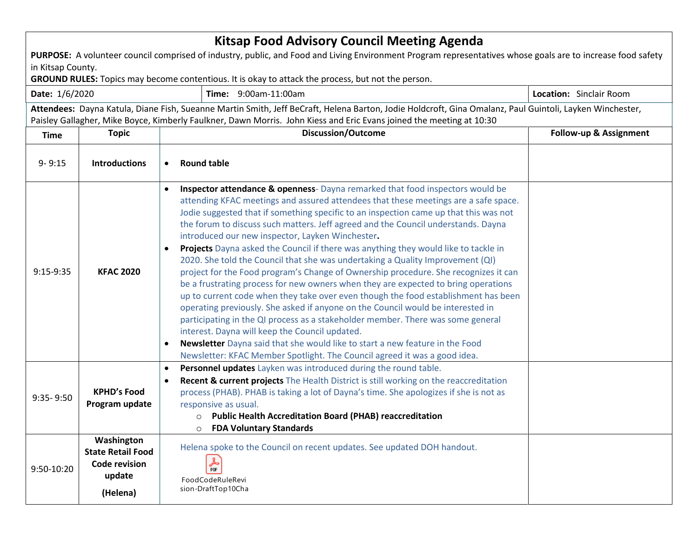| <b>Kitsap Food Advisory Council Meeting Agenda</b><br>PURPOSE: A volunteer council comprised of industry, public, and Food and Living Environment Program representatives whose goals are to increase food safety<br>in Kitsap County.<br>GROUND RULES: Topics may become contentious. It is okay to attack the process, but not the person. |                                                                                      |                                                                                                                                                                                                                                                                                                                                                                                                                                                                                                                                                                                                                                                                                                                                                                                                                                                                                                                                                                                                                                                                                                                                                                                                                                                                  |                                |  |  |  |  |
|----------------------------------------------------------------------------------------------------------------------------------------------------------------------------------------------------------------------------------------------------------------------------------------------------------------------------------------------|--------------------------------------------------------------------------------------|------------------------------------------------------------------------------------------------------------------------------------------------------------------------------------------------------------------------------------------------------------------------------------------------------------------------------------------------------------------------------------------------------------------------------------------------------------------------------------------------------------------------------------------------------------------------------------------------------------------------------------------------------------------------------------------------------------------------------------------------------------------------------------------------------------------------------------------------------------------------------------------------------------------------------------------------------------------------------------------------------------------------------------------------------------------------------------------------------------------------------------------------------------------------------------------------------------------------------------------------------------------|--------------------------------|--|--|--|--|
| Time: 9:00am-11:00am<br>Date: 1/6/2020                                                                                                                                                                                                                                                                                                       |                                                                                      |                                                                                                                                                                                                                                                                                                                                                                                                                                                                                                                                                                                                                                                                                                                                                                                                                                                                                                                                                                                                                                                                                                                                                                                                                                                                  | <b>Location:</b> Sinclair Room |  |  |  |  |
|                                                                                                                                                                                                                                                                                                                                              |                                                                                      | Attendees: Dayna Katula, Diane Fish, Sueanne Martin Smith, Jeff BeCraft, Helena Barton, Jodie Holdcroft, Gina Omalanz, Paul Guintoli, Layken Winchester,<br>Paisley Gallagher, Mike Boyce, Kimberly Faulkner, Dawn Morris. John Kiess and Eric Evans joined the meeting at 10:30                                                                                                                                                                                                                                                                                                                                                                                                                                                                                                                                                                                                                                                                                                                                                                                                                                                                                                                                                                                 |                                |  |  |  |  |
| <b>Time</b>                                                                                                                                                                                                                                                                                                                                  | <b>Topic</b>                                                                         | <b>Discussion/Outcome</b>                                                                                                                                                                                                                                                                                                                                                                                                                                                                                                                                                                                                                                                                                                                                                                                                                                                                                                                                                                                                                                                                                                                                                                                                                                        | Follow-up & Assignment         |  |  |  |  |
| $9 - 9:15$                                                                                                                                                                                                                                                                                                                                   | <b>Introductions</b>                                                                 | <b>Round table</b><br>$\bullet$                                                                                                                                                                                                                                                                                                                                                                                                                                                                                                                                                                                                                                                                                                                                                                                                                                                                                                                                                                                                                                                                                                                                                                                                                                  |                                |  |  |  |  |
| 9:15-9:35                                                                                                                                                                                                                                                                                                                                    | <b>KFAC 2020</b>                                                                     | Inspector attendance & openness-Dayna remarked that food inspectors would be<br>$\bullet$<br>attending KFAC meetings and assured attendees that these meetings are a safe space.<br>Jodie suggested that if something specific to an inspection came up that this was not<br>the forum to discuss such matters. Jeff agreed and the Council understands. Dayna<br>introduced our new inspector, Layken Winchester.<br>Projects Dayna asked the Council if there was anything they would like to tackle in<br>$\bullet$<br>2020. She told the Council that she was undertaking a Quality Improvement (QI)<br>project for the Food program's Change of Ownership procedure. She recognizes it can<br>be a frustrating process for new owners when they are expected to bring operations<br>up to current code when they take over even though the food establishment has been<br>operating previously. She asked if anyone on the Council would be interested in<br>participating in the QI process as a stakeholder member. There was some general<br>interest. Dayna will keep the Council updated.<br>Newsletter Dayna said that she would like to start a new feature in the Food<br>Newsletter: KFAC Member Spotlight. The Council agreed it was a good idea. |                                |  |  |  |  |
| $9:35 - 9:50$                                                                                                                                                                                                                                                                                                                                | <b>KPHD's Food</b><br>Program update                                                 | Personnel updates Layken was introduced during the round table.<br>$\bullet$<br>Recent & current projects The Health District is still working on the reaccreditation<br>$\bullet$<br>process (PHAB). PHAB is taking a lot of Dayna's time. She apologizes if she is not as<br>responsive as usual.<br><b>Public Health Accreditation Board (PHAB) reaccreditation</b><br>$\circ$<br><b>FDA Voluntary Standards</b><br>$\circ$                                                                                                                                                                                                                                                                                                                                                                                                                                                                                                                                                                                                                                                                                                                                                                                                                                   |                                |  |  |  |  |
| 9:50-10:20                                                                                                                                                                                                                                                                                                                                   | Washington<br><b>State Retail Food</b><br><b>Code revision</b><br>update<br>(Helena) | Helena spoke to the Council on recent updates. See updated DOH handout.<br>$\frac{1}{\pi}$<br>FoodCodeRuleRevi<br>sion-DraftTop10Cha                                                                                                                                                                                                                                                                                                                                                                                                                                                                                                                                                                                                                                                                                                                                                                                                                                                                                                                                                                                                                                                                                                                             |                                |  |  |  |  |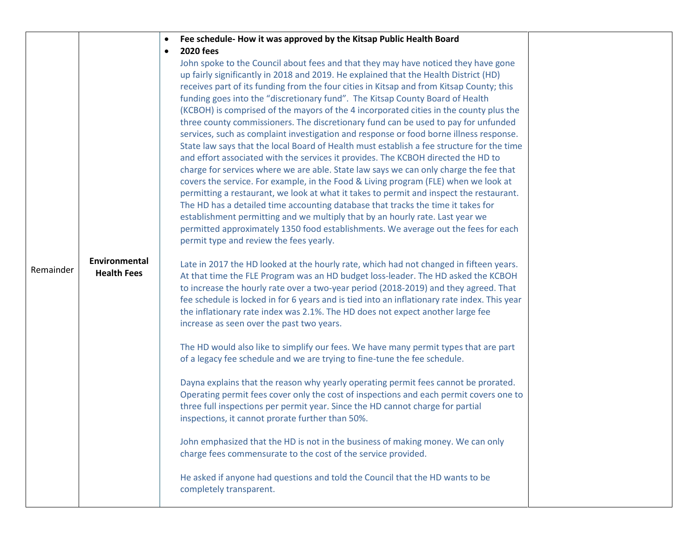|           |                                     | Fee schedule-How it was approved by the Kitsap Public Health Board<br>$\bullet$                                                                                                                                                                                                                                                                                                                                                                                                                                                                                                                                                                                                                                                                                                                                                                                                                                                                                                                                                                                                                                                                                                                                                                                                                                                                                                                                                       |  |
|-----------|-------------------------------------|---------------------------------------------------------------------------------------------------------------------------------------------------------------------------------------------------------------------------------------------------------------------------------------------------------------------------------------------------------------------------------------------------------------------------------------------------------------------------------------------------------------------------------------------------------------------------------------------------------------------------------------------------------------------------------------------------------------------------------------------------------------------------------------------------------------------------------------------------------------------------------------------------------------------------------------------------------------------------------------------------------------------------------------------------------------------------------------------------------------------------------------------------------------------------------------------------------------------------------------------------------------------------------------------------------------------------------------------------------------------------------------------------------------------------------------|--|
|           |                                     | <b>2020 fees</b><br>$\bullet$<br>John spoke to the Council about fees and that they may have noticed they have gone<br>up fairly significantly in 2018 and 2019. He explained that the Health District (HD)<br>receives part of its funding from the four cities in Kitsap and from Kitsap County; this<br>funding goes into the "discretionary fund". The Kitsap County Board of Health<br>(KCBOH) is comprised of the mayors of the 4 incorporated cities in the county plus the<br>three county commissioners. The discretionary fund can be used to pay for unfunded<br>services, such as complaint investigation and response or food borne illness response.<br>State law says that the local Board of Health must establish a fee structure for the time<br>and effort associated with the services it provides. The KCBOH directed the HD to<br>charge for services where we are able. State law says we can only charge the fee that<br>covers the service. For example, in the Food & Living program (FLE) when we look at<br>permitting a restaurant, we look at what it takes to permit and inspect the restaurant.<br>The HD has a detailed time accounting database that tracks the time it takes for<br>establishment permitting and we multiply that by an hourly rate. Last year we<br>permitted approximately 1350 food establishments. We average out the fees for each<br>permit type and review the fees yearly. |  |
| Remainder | Environmental<br><b>Health Fees</b> | Late in 2017 the HD looked at the hourly rate, which had not changed in fifteen years.<br>At that time the FLE Program was an HD budget loss-leader. The HD asked the KCBOH<br>to increase the hourly rate over a two-year period (2018-2019) and they agreed. That<br>fee schedule is locked in for 6 years and is tied into an inflationary rate index. This year<br>the inflationary rate index was 2.1%. The HD does not expect another large fee<br>increase as seen over the past two years.                                                                                                                                                                                                                                                                                                                                                                                                                                                                                                                                                                                                                                                                                                                                                                                                                                                                                                                                    |  |
|           |                                     | The HD would also like to simplify our fees. We have many permit types that are part<br>of a legacy fee schedule and we are trying to fine-tune the fee schedule.                                                                                                                                                                                                                                                                                                                                                                                                                                                                                                                                                                                                                                                                                                                                                                                                                                                                                                                                                                                                                                                                                                                                                                                                                                                                     |  |
|           |                                     | Dayna explains that the reason why yearly operating permit fees cannot be prorated.<br>Operating permit fees cover only the cost of inspections and each permit covers one to<br>three full inspections per permit year. Since the HD cannot charge for partial<br>inspections, it cannot prorate further than 50%.                                                                                                                                                                                                                                                                                                                                                                                                                                                                                                                                                                                                                                                                                                                                                                                                                                                                                                                                                                                                                                                                                                                   |  |
|           |                                     | John emphasized that the HD is not in the business of making money. We can only<br>charge fees commensurate to the cost of the service provided.                                                                                                                                                                                                                                                                                                                                                                                                                                                                                                                                                                                                                                                                                                                                                                                                                                                                                                                                                                                                                                                                                                                                                                                                                                                                                      |  |
|           |                                     | He asked if anyone had questions and told the Council that the HD wants to be<br>completely transparent.                                                                                                                                                                                                                                                                                                                                                                                                                                                                                                                                                                                                                                                                                                                                                                                                                                                                                                                                                                                                                                                                                                                                                                                                                                                                                                                              |  |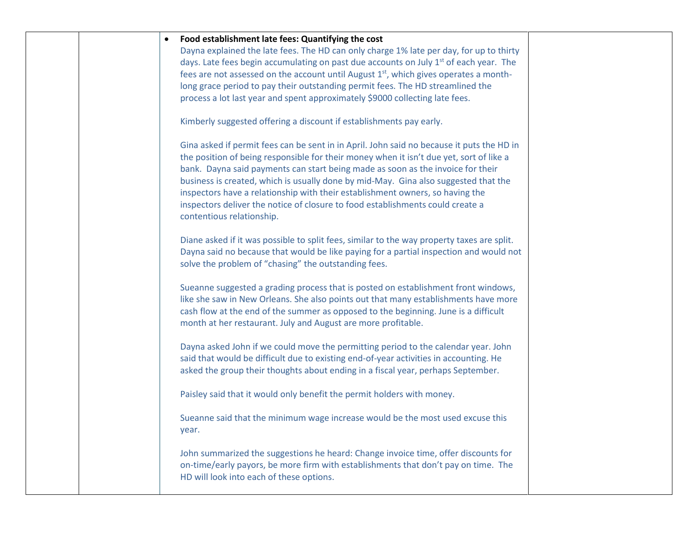| Food establishment late fees: Quantifying the cost<br>Dayna explained the late fees. The HD can only charge 1% late per day, for up to thirty<br>days. Late fees begin accumulating on past due accounts on July 1 <sup>st</sup> of each year. The<br>fees are not assessed on the account until August $1st$ , which gives operates a month-<br>long grace period to pay their outstanding permit fees. The HD streamlined the<br>process a lot last year and spent approximately \$9000 collecting late fees.<br>Kimberly suggested offering a discount if establishments pay early.<br>Gina asked if permit fees can be sent in in April. John said no because it puts the HD in<br>the position of being responsible for their money when it isn't due yet, sort of like a<br>bank. Dayna said payments can start being made as soon as the invoice for their<br>business is created, which is usually done by mid-May. Gina also suggested that the<br>inspectors have a relationship with their establishment owners, so having the<br>inspectors deliver the notice of closure to food establishments could create a<br>contentious relationship.<br>Diane asked if it was possible to split fees, similar to the way property taxes are split.<br>Dayna said no because that would be like paying for a partial inspection and would not<br>solve the problem of "chasing" the outstanding fees.<br>Sueanne suggested a grading process that is posted on establishment front windows,<br>like she saw in New Orleans. She also points out that many establishments have more<br>cash flow at the end of the summer as opposed to the beginning. June is a difficult<br>month at her restaurant. July and August are more profitable.<br>Dayna asked John if we could move the permitting period to the calendar year. John<br>said that would be difficult due to existing end-of-year activities in accounting. He<br>asked the group their thoughts about ending in a fiscal year, perhaps September.<br>Paisley said that it would only benefit the permit holders with money.<br>Sueanne said that the minimum wage increase would be the most used excuse this<br>year.<br>John summarized the suggestions he heard: Change invoice time, offer discounts for |  |
|-----------------------------------------------------------------------------------------------------------------------------------------------------------------------------------------------------------------------------------------------------------------------------------------------------------------------------------------------------------------------------------------------------------------------------------------------------------------------------------------------------------------------------------------------------------------------------------------------------------------------------------------------------------------------------------------------------------------------------------------------------------------------------------------------------------------------------------------------------------------------------------------------------------------------------------------------------------------------------------------------------------------------------------------------------------------------------------------------------------------------------------------------------------------------------------------------------------------------------------------------------------------------------------------------------------------------------------------------------------------------------------------------------------------------------------------------------------------------------------------------------------------------------------------------------------------------------------------------------------------------------------------------------------------------------------------------------------------------------------------------------------------------------------------------------------------------------------------------------------------------------------------------------------------------------------------------------------------------------------------------------------------------------------------------------------------------------------------------------------------------------------------------------------------------------------------------------------------------------------------------------------------------------|--|
| on-time/early payors, be more firm with establishments that don't pay on time. The<br>HD will look into each of these options.                                                                                                                                                                                                                                                                                                                                                                                                                                                                                                                                                                                                                                                                                                                                                                                                                                                                                                                                                                                                                                                                                                                                                                                                                                                                                                                                                                                                                                                                                                                                                                                                                                                                                                                                                                                                                                                                                                                                                                                                                                                                                                                                              |  |